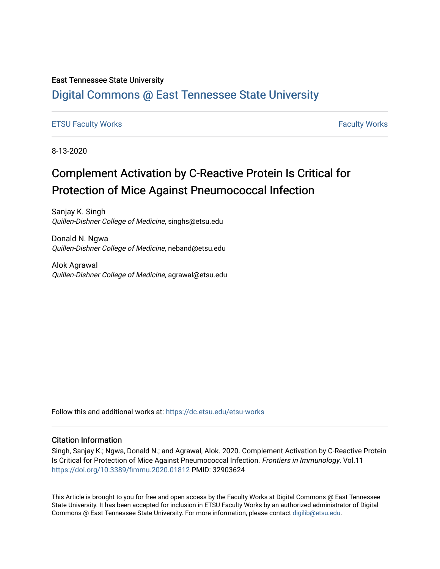#### East Tennessee State University

# [Digital Commons @ East Tennessee State University](https://dc.etsu.edu/)

#### [ETSU Faculty Works](https://dc.etsu.edu/etsu-works) **Faculty Works** [Faculty Works](https://dc.etsu.edu/faculty-works) **Faculty Works**

8-13-2020

# Complement Activation by C-Reactive Protein Is Critical for Protection of Mice Against Pneumococcal Infection

Sanjay K. Singh Quillen-Dishner College of Medicine, singhs@etsu.edu

Donald N. Ngwa Quillen-Dishner College of Medicine, neband@etsu.edu

Alok Agrawal Quillen-Dishner College of Medicine, agrawal@etsu.edu

Follow this and additional works at: [https://dc.etsu.edu/etsu-works](https://dc.etsu.edu/etsu-works?utm_source=dc.etsu.edu%2Fetsu-works%2F9426&utm_medium=PDF&utm_campaign=PDFCoverPages) 

#### Citation Information

Singh, Sanjay K.; Ngwa, Donald N.; and Agrawal, Alok. 2020. Complement Activation by C-Reactive Protein Is Critical for Protection of Mice Against Pneumococcal Infection. Frontiers in Immunology. Vol.11 <https://doi.org/10.3389/fimmu.2020.01812> PMID: 32903624

This Article is brought to you for free and open access by the Faculty Works at Digital Commons @ East Tennessee State University. It has been accepted for inclusion in ETSU Faculty Works by an authorized administrator of Digital Commons @ East Tennessee State University. For more information, please contact [digilib@etsu.edu.](mailto:digilib@etsu.edu)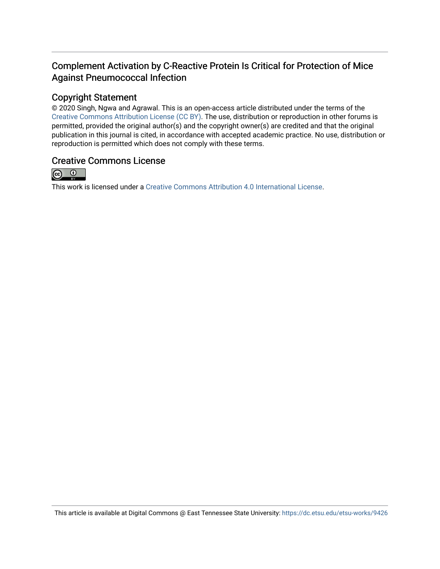# Complement Activation by C-Reactive Protein Is Critical for Protection of Mice Against Pneumococcal Infection

# Copyright Statement

© 2020 Singh, Ngwa and Agrawal. This is an open-access article distributed under the terms of the [Creative Commons Attribution License \(CC BY\).](http://creativecommons.org/licenses/by/4.0/) The use, distribution or reproduction in other forums is permitted, provided the original author(s) and the copyright owner(s) are credited and that the original publication in this journal is cited, in accordance with accepted academic practice. No use, distribution or reproduction is permitted which does not comply with these terms.

# Creative Commons License



This work is licensed under a [Creative Commons Attribution 4.0 International License.](https://creativecommons.org/licenses/by/4.0/)

This article is available at Digital Commons @ East Tennessee State University: <https://dc.etsu.edu/etsu-works/9426>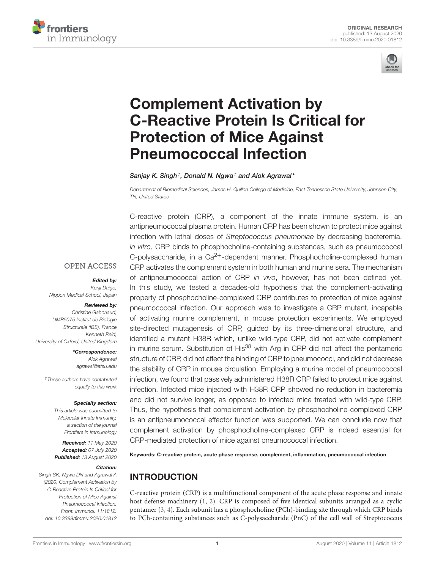



# Complement Activation by [C-Reactive Protein Is Critical for](https://www.frontiersin.org/articles/10.3389/fimmu.2020.01812/full) Protection of Mice Against Pneumococcal Infection

#### [Sanjay K. Singh](http://loop.frontiersin.org/people/1001588/overview)† , Donald N. Ngwa† and [Alok Agrawal\\*](http://loop.frontiersin.org/people/559726/overview)

*Department of Biomedical Sciences, James H. Quillen College of Medicine, East Tennessee State University, Johnson City, TN, United States*

C-reactive protein (CRP), a component of the innate immune system, is an

**OPEN ACCESS** 

#### Edited by:

*Kenji Daigo, Nippon Medical School, Japan*

#### Reviewed by:

*Christine Gaboriaud, UMR5075 Institut de Biologie Structurale (IBS), France Kenneth Reid, University of Oxford, United Kingdom*

> \*Correspondence: *Alok Agrawal [agrawal@etsu.edu](mailto:agrawal@etsu.edu)*

*†These authors have contributed equally to this work*

#### Specialty section:

*This article was submitted to Molecular Innate Immunity, a section of the journal Frontiers in Immunology*

Received: *11 May 2020* Accepted: *07 July 2020* Published: *13 August 2020*

#### Citation:

*Singh SK, Ngwa DN and Agrawal A (2020) Complement Activation by C-Reactive Protein Is Critical for Protection of Mice Against Pneumococcal Infection. Front. Immunol. 11:1812. doi: [10.3389/fimmu.2020.01812](https://doi.org/10.3389/fimmu.2020.01812)*

antipneumococcal plasma protein. Human CRP has been shown to protect mice against infection with lethal doses of *Streptococcus pneumoniae* by decreasing bacteremia. *in vitro*, CRP binds to phosphocholine-containing substances, such as pneumococcal C-polysaccharide, in a  $Ca^{2+}$ -dependent manner. Phosphocholine-complexed human CRP activates the complement system in both human and murine sera. The mechanism of antipneumococcal action of CRP *in vivo*, however, has not been defined yet. In this study, we tested a decades-old hypothesis that the complement-activating property of phosphocholine-complexed CRP contributes to protection of mice against pneumococcal infection. Our approach was to investigate a CRP mutant, incapable of activating murine complement, in mouse protection experiments. We employed site-directed mutagenesis of CRP, guided by its three-dimensional structure, and identified a mutant H38R which, unlike wild-type CRP, did not activate complement in murine serum. Substitution of  $His<sup>38</sup>$  with Arg in CRP did not affect the pentameric structure of CRP, did not affect the binding of CRP to pneumococci, and did not decrease the stability of CRP in mouse circulation. Employing a murine model of pneumococcal infection, we found that passively administered H38R CRP failed to protect mice against infection. Infected mice injected with H38R CRP showed no reduction in bacteremia and did not survive longer, as opposed to infected mice treated with wild-type CRP. Thus, the hypothesis that complement activation by phosphocholine-complexed CRP is an antipneumococcal effector function was supported. We can conclude now that complement activation by phosphocholine-complexed CRP is indeed essential for CRP-mediated protection of mice against pneumococcal infection.

Keywords: C-reactive protein, acute phase response, complement, inflammation, pneumococcal infection

# INTRODUCTION

C-reactive protein (CRP) is a multifunctional component of the acute phase response and innate host defense machinery [\(1,](#page-7-0) [2\)](#page-7-1). CRP is composed of five identical subunits arranged as a cyclic pentamer [\(3,](#page-7-2) [4\)](#page-7-3). Each subunit has a phosphocholine (PCh)-binding site through which CRP binds to PCh-containing substances such as C-polysaccharide (PnC) of the cell wall of Streptococcus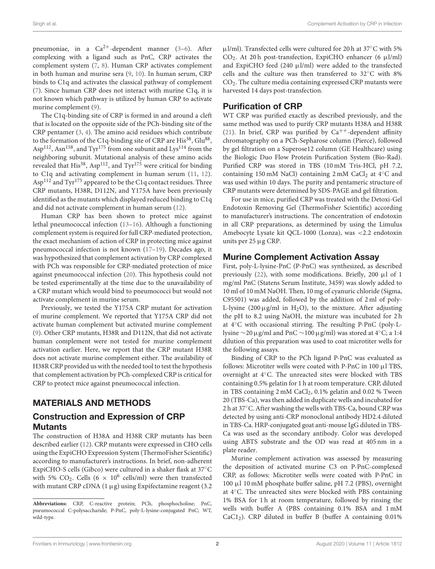pneumoniae, in a  $Ca^{2+}$ -dependent manner [\(3](#page-7-2)[–6\)](#page-7-4). After complexing with a ligand such as PnC, CRP activates the complement system [\(7,](#page-8-0) [8\)](#page-8-1). Human CRP activates complement in both human and murine sera [\(9,](#page-8-2) [10\)](#page-8-3). In human serum, CRP binds to C1q and activates the classical pathway of complement [\(7\)](#page-8-0). Since human CRP does not interact with murine C1q, it is not known which pathway is utilized by human CRP to activate murine complement [\(9\)](#page-8-2).

The C1q-binding site of CRP is formed in and around a cleft that is located on the opposite side of the PCh-binding site of the CRP pentamer [\(3,](#page-7-2) [4\)](#page-7-3). The amino acid residues which contribute to the formation of the C1q-binding site of CRP are His<sup>38</sup>, Glu<sup>88</sup>, Asp<sup>112</sup>, Asn<sup>158</sup>, and Tyr<sup>175</sup> from one subunit and Lys<sup>114</sup> from the neighboring subunit. Mutational analysis of these amino acids revealed that His<sup>38</sup>, Asp<sup>112</sup>, and Tyr<sup>175</sup> were critical for binding to C1q and activating complement in human serum [\(11,](#page-8-4) [12\)](#page-8-5). Asp<sup>112</sup> and Tyr<sup>175</sup> appeared to be the C1q contact residues. Three CRP mutants, H38R, D112N, and Y175A have been previously identified as the mutants which displayed reduced binding to C1q and did not activate complement in human serum [\(12\)](#page-8-5).

Human CRP has been shown to protect mice against lethal pneumococcal infection [\(13–](#page-8-6)[16\)](#page-8-7). Although a functioning complement system is required for full CRP-mediated protection, the exact mechanism of action of CRP in protecting mice against pneumococcal infection is not known [\(17](#page-8-8)[–19\)](#page-8-9). Decades ago, it was hypothesized that complement activation by CRP complexed with PCh was responsible for CRP-mediated protection of mice against pneumococcal infection [\(20\)](#page-8-10). This hypothesis could not be tested experimentally at the time due to the unavailability of a CRP mutant which would bind to pneumococci but would not activate complement in murine serum.

Previously, we tested the Y175A CRP mutant for activation of murine complement. We reported that Y175A CRP did not activate human complement but activated murine complement [\(9\)](#page-8-2). Other CRP mutants, H38R and D112N, that did not activate human complement were not tested for murine complement activation earlier. Here, we report that the CRP mutant H38R does not activate murine complement either. The availability of H38R CRP provided us with the needed tool to test the hypothesis that complement activation by PCh-complexed CRP is critical for CRP to protect mice against pneumococcal infection.

## MATERIALS AND METHODS

## Construction and Expression of CRP **Mutants**

The construction of H38A and H38R CRP mutants has been described earlier [\(12\)](#page-8-5). CRP mutants were expressed in CHO cells using the ExpiCHO Expression System (ThermoFisher Scientific) according to manufacturer's instructions. In brief, non-adherent ExpiCHO-S cells (Gibco) were cultured in a shaker flask at 37◦C with 5%  $CO_2$ . Cells (6  $\times$  10<sup>6</sup> cells/ml) were then transfected with mutant CRP cDNA  $(1 \mu g)$  using Expifectamine reagent  $(3.2 \mu g)$  µl/ml). Transfected cells were cultured for 20 h at 37°C with 5% CO<sub>2</sub>. At 20 h post-transfection, ExpiCHO enhancer (6  $\mu$ l/ml) and ExpiCHO feed  $(240 \mu l/ml)$  were added to the transfected cells and the culture was then transferred to 32◦C with 8% CO2. The culture media containing expressed CRP mutants were harvested 14 days post-transfection.

#### Purification of CRP

WT CRP was purified exactly as described previously, and the same method was used to purify CRP mutants H38A and H38R [\(21\)](#page-8-11). In brief, CRP was purified by  $Ca^{++}$ -dependent affinity chromatography on a PCh-Sepharose column (Pierce), followed by gel filtration on a Superose12 column (GE Healthcare) using the Biologic Duo Flow Protein Purification System (Bio-Rad). Purified CRP was stored in TBS (10 mM Tris-HCl, pH 7.2, containing 150 mM NaCl) containing  $2 \text{ mM }$  CaCl<sub>2</sub> at  $4\text{°C}$  and was used within 10 days. The purity and pentameric structure of CRP mutants were determined by SDS-PAGE and gel filtration.

For use in mice, purified CRP was treated with the Detoxi-Gel Endotoxin Removing Gel (ThermoFisher Scientific) according to manufacturer's instructions. The concentration of endotoxin in all CRP preparations, as determined by using the Limulus Amebocyte Lysate kit QCL-1000 (Lonza), was <2.2 endotoxin units per 25 µg CRP.

#### Murine Complement Activation Assay

First, poly-L-lysine-PnC (P-PnC) was synthesized, as described previously  $(22)$ , with some modifications. Briefly,  $200 \mu l$  of 1 mg/ml PnC (Statens Serum Institute, 3459) was slowly added to 10 ml of 10 mM NaOH. Then, 10 mg of cyanuric chloride (Sigma, C95501) was added, followed by the addition of 2 ml of poly-L-lysine (200  $\mu$ g/ml in H<sub>2</sub>O), to the mixture. After adjusting the pH to 8.2 using NaOH, the mixture was incubated for 2 h at 4◦C with occasional stirring. The resulting P-PnC (poly-Llysine ∼20µg/ml and PnC ∼100µg/ml) was stored at 4◦C; a 1:4 dilution of this preparation was used to coat microtiter wells for the following assays.

Binding of CRP to the PCh ligand P-PnC was evaluated as follows: Microtiter wells were coated with P-PnC in 100 µl TBS, overnight at 4◦C. The unreacted sites were blocked with TBS containing 0.5% gelatin for 1 h at room temperature. CRP, diluted in TBS containing  $2 \text{ mM } CaCl<sub>2</sub>$ , 0.1% gelatin and 0.02 % Tween 20 (TBS-Ca), was then added in duplicate wells and incubated for 2 h at 37◦C. After washing the wells with TBS-Ca, bound CRP was detected by using anti-CRP monoclonal antibody HD2.4 diluted in TBS-Ca. HRP-conjugated goat anti-mouse IgG diluted in TBS-Ca was used as the secondary antibody. Color was developed using ABTS substrate and the OD was read at 405 nm in a plate reader.

Murine complement activation was assessed by measuring the deposition of activated murine C3 on P-PnC-complexed CRP, as follows: Microtiter wells were coated with P-PnC in 100 µl 10 mM phosphate buffer saline, pH 7.2 (PBS), overnight at 4◦C. The unreacted sites were blocked with PBS containing 1% BSA for 1 h at room temperature, followed by rinsing the wells with buffer A (PBS containing 0.1% BSA and 1 mM  $CaCl<sub>2</sub>$ ). CRP diluted in buffer B (buffer A containing 0.01%

**Abbreviations:** CRP, C-reactive protein; PCh, phosphocholine; PnC, pneumococcal C-polysaccharide; P-PnC, poly-L-lysine-conjugated PnC; WT, wild-type.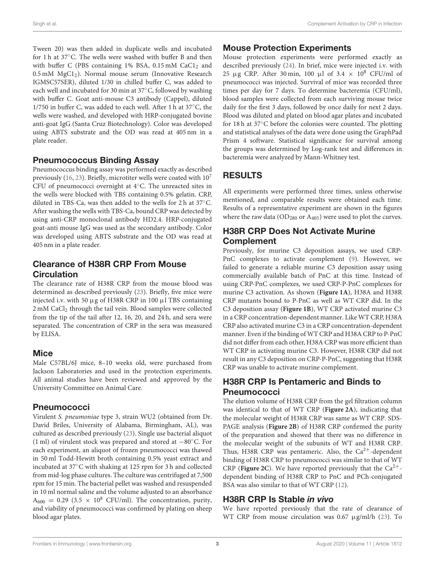Tween 20) was then added in duplicate wells and incubated for 1 h at 37◦C. The wells were washed with buffer B and then with buffer C (PBS containing 1% BSA,  $0.15 \text{ mM }$  CaC1<sub>2</sub> and 0.5 mM MgC12). Normal mouse serum (Innovative Research IGMSC57SER), diluted 1/30 in chilled buffer C, was added to each well and incubated for 30 min at 37◦C, followed by washing with buffer C. Goat anti-mouse C3 antibody (Cappel), diluted 1/750 in buffer C, was added to each well. After 1 h at 37◦C, the wells were washed, and developed with HRP-conjugated bovine anti-goat IgG (Santa Cruz Biotechnology). Color was developed using ABTS substrate and the OD was read at 405 nm in a plate reader.

#### Pneumococcus Binding Assay

Pneumococcus binding assay was performed exactly as described previously [\(16,](#page-8-7) [23\)](#page-8-13). Briefly, microtiter wells were coated with  $10<sup>7</sup>$ CFU of pneumococci overnight at 4◦C. The unreacted sites in the wells were blocked with TBS containing 0.5% gelatin. CRP, diluted in TBS-Ca, was then added to the wells for 2 h at 37◦C. After washing the wells with TBS-Ca, bound CRP was detected by using anti-CRP monoclonal antibody HD2.4. HRP-conjugated goat-anti mouse IgG was used as the secondary antibody. Color was developed using ABTS substrate and the OD was read at 405 nm in a plate reader.

## Clearance of H38R CRP From Mouse **Circulation**

The clearance rate of H38R CRP from the mouse blood was determined as described previously [\(23\)](#page-8-13). Briefly, five mice were injected i.v. with 50  $\mu$ g of H38R CRP in 100  $\mu$ l TBS containing 2 mM CaCl<sup>2</sup> through the tail vein. Blood samples were collected from the tip of the tail after 12, 16, 20, and 24 h, and sera were separated. The concentration of CRP in the sera was measured by ELISA.

#### **Mice**

Male C57BL/6J mice, 8–10 weeks old, were purchased from Jackson Laboratories and used in the protection experiments. All animal studies have been reviewed and approved by the University Committee on Animal Care.

## Pneumococci

Virulent S. pneumoniae type 3, strain WU2 (obtained from Dr. David Briles, University of Alabama, Birmingham, AL), was cultured as described previously [\(23\)](#page-8-13). Single use bacterial aliquot (1 ml) of virulent stock was prepared and stored at −80◦C. For each experiment, an aliquot of frozen pneumococci was thawed in 50 ml Todd-Hewitt broth containing 0.5% yeast extract and incubated at 37◦C with shaking at 125 rpm for 3 h and collected from mid-log phase cultures. The culture was centrifuged at 7,500 rpm for 15 min. The bacterial pellet was washed and resuspended in 10 ml normal saline and the volume adjusted to an absorbance  $A_{600} = 0.29$  (3.5 × 10<sup>8</sup> CFU/ml). The concentration, purity, and viability of pneumococci was confirmed by plating on sheep blood agar plates.

## Mouse Protection Experiments

Mouse protection experiments were performed exactly as described previously [\(24\)](#page-8-14). In brief, mice were injected i.v. with 25 µg CRP. After 30 min, 100 µl of  $3.4 \times 10^8$  CFU/ml of pneumococci was injected. Survival of mice was recorded three times per day for 7 days. To determine bacteremia (CFU/ml), blood samples were collected from each surviving mouse twice daily for the first 3 days, followed by once daily for next 2 days. Blood was diluted and plated on blood agar plates and incubated for 18 h at 37◦C before the colonies were counted. The plotting and statistical analyses of the data were done using the GraphPad Prism 4 software. Statistical significance for survival among the groups was determined by Log-rank test and differences in bacteremia were analyzed by Mann-Whitney test.

# RESULTS

All experiments were performed three times, unless otherwise mentioned, and comparable results were obtained each time. Results of a representative experiment are shown in the figures where the raw data ( $OD<sub>280</sub>$  or  $A<sub>405</sub>$ ) were used to plot the curves.

# H38R CRP Does Not Activate Murine **Complement**

Previously, for murine C3 deposition assays, we used CRP-PnC complexes to activate complement [\(9\)](#page-8-2). However, we failed to generate a reliable murine C3 deposition assay using commercially available batch of PnC at this time. Instead of using CRP-PnC complexes, we used CRP-P-PnC complexes for murine C3 activation. As shown (**[Figure 1A](#page-5-0)**), H38A and H38R CRP mutants bound to P-PnC as well as WT CRP did. In the C3 deposition assay (**[Figure 1B](#page-5-0)**), WT CRP activated murine C3 in a CRP concentration-dependent manner. Like WT CRP, H38A CRP also activated murine C3 in a CRP concentration-dependent manner. Even if the binding of WT CRP and H38A CRP to P-PnC did not differ from each other, H38A CRP was more efficient than WT CRP in activating murine C3. However, H38R CRP did not result in any C3 deposition on CRP-P-PnC, suggesting that H38R CRP was unable to activate murine complement.

## H38R CRP Is Pentameric and Binds to Pneumococci

The elution volume of H38R CRP from the gel filtration column was identical to that of WT CRP (**[Figure 2A](#page-5-1)**), indicating that the molecular weight of H38R CRP was same as WT CRP. SDS-PAGE analysis (**[Figure 2B](#page-5-1)**) of H38R CRP confirmed the purity of the preparation and showed that there was no difference in the molecular weight of the subunits of WT and H38R CRP. Thus, H38R CRP was pentameric. Also, the  $Ca^{2+}$ -dependent binding of H38R CRP to pneumococci was similar to that of WT CRP (**[Figure 2C](#page-5-1)**). We have reported previously that the  $Ca^{2+}$ dependent binding of H38R CRP to PnC and PCh-conjugated BSA was also similar to that of WT CRP [\(12\)](#page-8-5).

#### H38R CRP Is Stable in vivo

We have reported previously that the rate of clearance of WT CRP from mouse circulation was 0.67 µg/ml/h [\(23\)](#page-8-13). To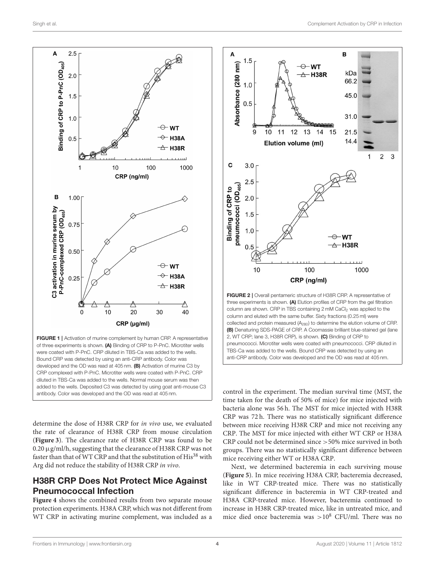

<span id="page-5-0"></span>of three experiments is shown. (A) Binding of CRP to P-PnC. Microtiter wells were coated with P-PnC. CRP diluted in TBS-Ca was added to the wells. Bound CRP was detected by using an anti-CRP antibody. Color was developed and the OD was read at 405 nm. (B) Activation of murine C3 by CRP complexed with P-PnC. Microtiter wells were coated with P-PnC. CRP diluted in TBS-Ca was added to the wells. Normal mouse serum was then added to the wells. Deposited C3 was detected by using goat anti-mouse C3 antibody. Color was developed and the OD was read at 405 nm.

determine the dose of H38R CRP for in vivo use, we evaluated the rate of clearance of H38R CRP from mouse circulation (**[Figure 3](#page-6-0)**). The clearance rate of H38R CRP was found to be 0.20 µg/ml/h, suggesting that the clearance of H38R CRP was not faster than that of WT CRP and that the substitution of His<sup>38</sup> with Arg did not reduce the stability of H38R CRP in vivo.

# H38R CRP Does Not Protect Mice Against Pneumococcal Infection

**[Figure 4](#page-6-1)** shows the combined results from two separate mouse protection experiments. H38A CRP, which was not different from WT CRP in activating murine complement, was included as a



control in the experiment. The median survival time (MST, the time taken for the death of 50% of mice) for mice injected with bacteria alone was 56 h. The MST for mice injected with H38R CRP was 72 h. There was no statistically significant difference between mice receiving H38R CRP and mice not receiving any CRP. The MST for mice injected with either WT CRP or H38A CRP could not be determined since >50% mice survived in both groups. There was no statistically significant difference between mice receiving either WT or H38A CRP.

<span id="page-5-1"></span>anti-CRP antibody. Color was developed and the OD was read at 405 nm.

Next, we determined bacteremia in each surviving mouse (**[Figure 5](#page-7-5)**). In mice receiving H38A CRP, bacteremia decreased, like in WT CRP-treated mice. There was no statistically significant difference in bacteremia in WT CRP-treated and H38A CRP-treated mice. However, bacteremia continued to increase in H38R CRP-treated mice, like in untreated mice, and mice died once bacteremia was  $>10^8$  CFU/ml. There was no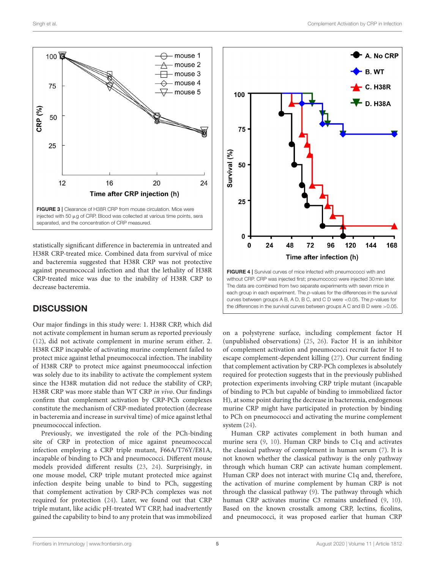

<span id="page-6-0"></span>statistically significant difference in bacteremia in untreated and H38R CRP-treated mice. Combined data from survival of mice and bacteremia suggested that H38R CRP was not protective against pneumococcal infection and that the lethality of H38R CRP-treated mice was due to the inability of H38R CRP to decrease bacteremia.

#### **DISCUSSION**

Our major findings in this study were: 1. H38R CRP, which did not activate complement in human serum as reported previously [\(12\)](#page-8-5), did not activate complement in murine serum either. 2. H38R CRP incapable of activating murine complement failed to protect mice against lethal pneumococcal infection. The inability of H38R CRP to protect mice against pneumococcal infection was solely due to its inability to activate the complement system since the H38R mutation did not reduce the stability of CRP; H38R CRP was more stable than WT CRP in vivo. Our findings confirm that complement activation by CRP-PCh complexes constitute the mechanism of CRP-mediated protection (decrease in bacteremia and increase in survival time) of mice against lethal pneumococcal infection.

Previously, we investigated the role of the PCh-binding site of CRP in protection of mice against pneumococcal infection employing a CRP triple mutant, F66A/T76Y/E81A, incapable of binding to PCh and pneumococci. Different mouse models provided different results [\(23,](#page-8-13) [24\)](#page-8-14). Surprisingly, in one mouse model, CRP triple mutant protected mice against infection despite being unable to bind to PCh, suggesting that complement activation by CRP-PCh complexes was not required for protection [\(24\)](#page-8-14). Later, we found out that CRP triple mutant, like acidic pH-treated WT CRP, had inadvertently gained the capability to bind to any protein that was immobilized



<span id="page-6-1"></span>without CRP. CRP was injected first; pneumococci were injected 30 min later. The data are combined from two separate experiments with seven mice in each group in each experiment. The *p*-values for the differences in the survival curves between groups A B, A D, B C, and C D were <0.05. The *p*-values for the differences in the survival curves between groups A C and B D were >0.05.

on a polystyrene surface, including complement factor H (unpublished observations) [\(25,](#page-8-15) [26\)](#page-8-16). Factor H is an inhibitor of complement activation and pneumococci recruit factor H to escape complement-dependent killing [\(27\)](#page-8-17). Our current finding that complement activation by CRP-PCh complexes is absolutely required for protection suggests that in the previously published protection experiments involving CRP triple mutant (incapable of binding to PCh but capable of binding to immobilized factor H), at some point during the decrease in bacteremia, endogenous murine CRP might have participated in protection by binding to PCh on pneumococci and activating the murine complement system [\(24\)](#page-8-14).

Human CRP activates complement in both human and murine sera [\(9,](#page-8-2) [10\)](#page-8-3). Human CRP binds to C1q and activates the classical pathway of complement in human serum [\(7\)](#page-8-0). It is not known whether the classical pathway is the only pathway through which human CRP can activate human complement. Human CRP does not interact with murine C1q and, therefore, the activation of murine complement by human CRP is not through the classical pathway [\(9\)](#page-8-2). The pathway through which human CRP activates murine C3 remains undefined [\(9,](#page-8-2) [10\)](#page-8-3). Based on the known crosstalk among CRP, lectins, ficolins, and pneumococci, it was proposed earlier that human CRP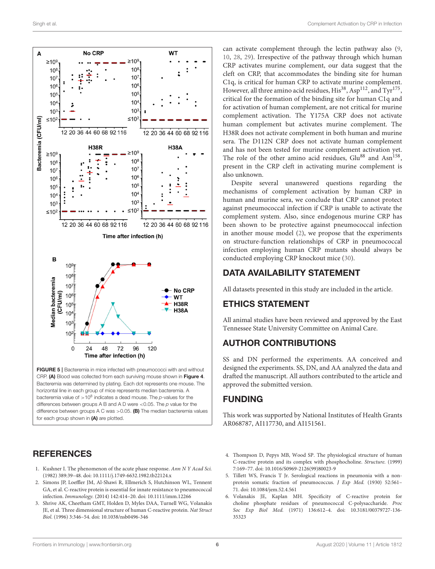

<span id="page-7-5"></span>CRP. (A) Blood was collected from each surviving mouse shown in [Figure 4](#page-6-1). Bacteremia was determined by plating. Each dot represents one mouse. The horizontal line in each group of mice represents median bacteremia. A bacteremia value of >10<sup>8</sup> indicates a dead mouse. The *p*-values for the differences between groups A B and A D were <0.05. The *p* value for the difference between groups A C was > 0.05. (B) The median bacteremia values for each group shown in (A) are plotted.

#### **REFERENCES**

- <span id="page-7-0"></span>1. Kushner I. The phenomenon of the acute phase response. Ann N Y Acad Sci. (1982) 389:39–48. doi: [10.1111/j.1749-6632.1982.tb22124.x](https://doi.org/10.1111/j.1749-6632.1982.tb22124.x)
- <span id="page-7-1"></span>2. Simons JP, Loeffler JM, Al-Shawi R, Ellmerich S, Hutchinson WL, Tennent GA, et al. C-reactive protein is essential for innate resistance to pneumococcal infection. Immunology. (2014) 142:414–20. doi: [10.1111/imm.12266](https://doi.org/10.1111/imm.12266)
- <span id="page-7-2"></span>3. Shrive AK, Cheetham GMT, Holden D, Myles DAA, Turnell WG, Volanakis JE, et al. Three dimensional structure of human C-reactive protein. Nat Struct Biol. (1996) 3:346–54. doi: [10.1038/nsb0496-346](https://doi.org/10.1038/nsb0496-346)

can activate complement through the lectin pathway also [\(9,](#page-8-2) [10,](#page-8-3) [28,](#page-8-18) [29\)](#page-8-19). Irrespective of the pathway through which human CRP activates murine complement, our data suggest that the cleft on CRP, that accommodates the binding site for human C1q, is critical for human CRP to activate murine complement. However, all three amino acid residues,  $His^{38}$ ,  $Asp^{112}$ , and  $Typ^{175}$ , critical for the formation of the binding site for human C1q and for activation of human complement, are not critical for murine complement activation. The Y175A CRP does not activate human complement but activates murine complement. The H38R does not activate complement in both human and murine sera. The D112N CRP does not activate human complement and has not been tested for murine complement activation yet. The role of the other amino acid residues, Glu<sup>88</sup> and Asn<sup>158</sup>, present in the CRP cleft in activating murine complement is also unknown.

Despite several unanswered questions regarding the mechanisms of complement activation by human CRP in human and murine sera, we conclude that CRP cannot protect against pneumococcal infection if CRP is unable to activate the complement system. Also, since endogenous murine CRP has been shown to be protective against pneumococcal infection in another mouse model [\(2\)](#page-7-1), we propose that the experiments on structure-function relationships of CRP in pneumococcal infection employing human CRP mutants should always be conducted employing CRP knockout mice [\(30\)](#page-8-20).

#### DATA AVAILABILITY STATEMENT

All datasets presented in this study are included in the article.

#### ETHICS STATEMENT

All animal studies have been reviewed and approved by the East Tennessee State University Committee on Animal Care.

#### AUTHOR CONTRIBUTIONS

SS and DN performed the experiments. AA conceived and designed the experiments. SS, DN, and AA analyzed the data and drafted the manuscript. All authors contributed to the article and approved the submitted version.

#### FUNDING

This work was supported by National Institutes of Health Grants AR068787, AI117730, and AI151561.

- <span id="page-7-3"></span>4. Thompson D, Pepys MB, Wood SP. The physiological structure of human C-reactive protein and its complex with phosphocholine. Structure. (1999) 7:169–77. doi: [10.1016/S0969-2126\(99\)80023-9](https://doi.org/10.1016/S0969-2126(99)80023-9)
- 5. Tillett WS, Francis T Jr. Serological reactions in pneumonia with a nonprotein somatic fraction of pneumococcus. J Exp Med. (1930) 52:561– 71. doi: [10.1084/jem.52.4.561](https://doi.org/10.1084/jem.52.4.561)
- <span id="page-7-4"></span>6. Volanakis JE, Kaplan MH. Specificity of C-reactive protein for choline phosphate residues of pneumococcal C-polysaccharide. Proc Soc Exp Biol Med. [\(1971\) 136:612–4. doi: 10.3181/00379727-136-](https://doi.org/10.3181/00379727-136-35323) 35323